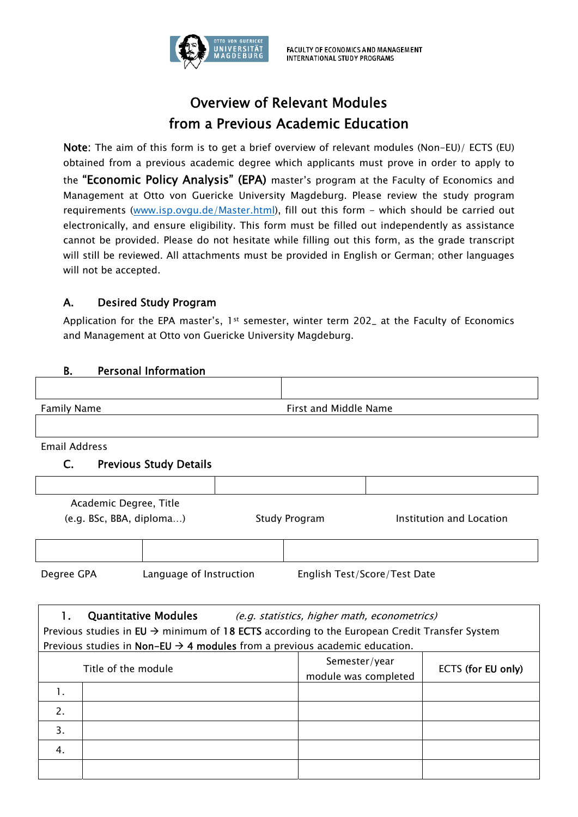

## Overview of Relevant Modules from a Previous Academic Education

Note: The aim of this form is to get a brief overview of relevant modules (Non-EU)/ ECTS (EU) obtained from a previous academic degree which applicants must prove in order to apply to the "Economic Policy Analysis" (EPA) master's program at the Faculty of Economics and Management at Otto von Guericke University Magdeburg. Please review the study program requirements (www.isp.ovgu.de/Master.html), fill out this form - which should be carried out electronically, and ensure eligibility. This form must be filled out independently as assistance cannot be provided. Please do not hesitate while filling out this form, as the grade transcript will still be reviewed. All attachments must be provided in English or German; other languages will not be accepted.

## A. Desired Study Program

Application for the EPA master's,  $1st$  semester, winter term 202<sub>-</sub> at the Faculty of Economics and Management at Otto von Guericke University Magdeburg.

## B. Personal Information

| <b>Family Name</b>                                                                                       | First and Middle Name |                                              |                          |
|----------------------------------------------------------------------------------------------------------|-----------------------|----------------------------------------------|--------------------------|
|                                                                                                          |                       |                                              |                          |
| <b>Email Address</b>                                                                                     |                       |                                              |                          |
| <b>Previous Study Details</b><br>C.                                                                      |                       |                                              |                          |
|                                                                                                          |                       |                                              |                          |
| Academic Degree, Title                                                                                   |                       |                                              |                          |
| (e.g. BSc, BBA, diploma)                                                                                 | <b>Study Program</b>  |                                              | Institution and Location |
|                                                                                                          |                       |                                              |                          |
|                                                                                                          |                       |                                              |                          |
| Language of Instruction<br>Degree GPA                                                                    |                       | English Test/Score/Test Date                 |                          |
|                                                                                                          |                       |                                              |                          |
| $\mathbf{1}$<br><b>Quantitative Modules</b>                                                              |                       | (e.g. statistics, higher math, econometrics) |                          |
| Previous studies in EU $\rightarrow$ minimum of 18 ECTS according to the European Credit Transfer System |                       |                                              |                          |
| Previous studies in Non-EU $\rightarrow$ 4 modules from a previous academic education.                   |                       |                                              |                          |
| Title of the module                                                                                      |                       | Semester/year<br>module was completed        | ECTS (for EU only)       |
| 1.                                                                                                       |                       |                                              |                          |
| 2.                                                                                                       |                       |                                              |                          |
| 3.                                                                                                       |                       |                                              |                          |
| 4.                                                                                                       |                       |                                              |                          |
|                                                                                                          |                       |                                              |                          |
|                                                                                                          |                       |                                              |                          |